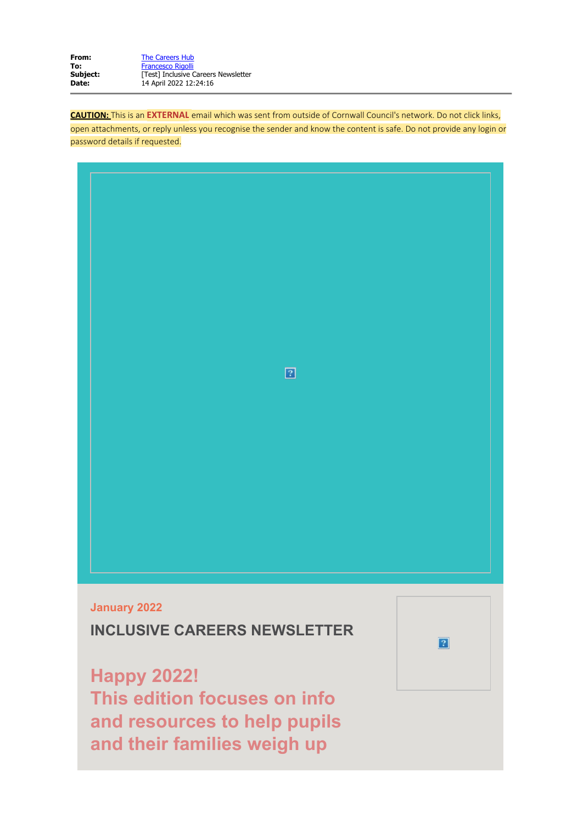| The Careers Hub                     |
|-------------------------------------|
| <b>Francesco Rigolli</b>            |
| [Test] Inclusive Careers Newsletter |
| 14 April 2022 12:24:16              |
|                                     |

**CAUTION:** This is an **EXTERNAL** email which was sent from outside of Cornwall Council's network. Do not click links,

open attachments, or reply unless you recognise the sender and know the content is safe. Do not provide any login or password details if requested.



**INCLUSIVE CAREERS NEWSLETTER**

**Happy 2022! This edition focuses on info and resources to help pupils and their families weigh up**

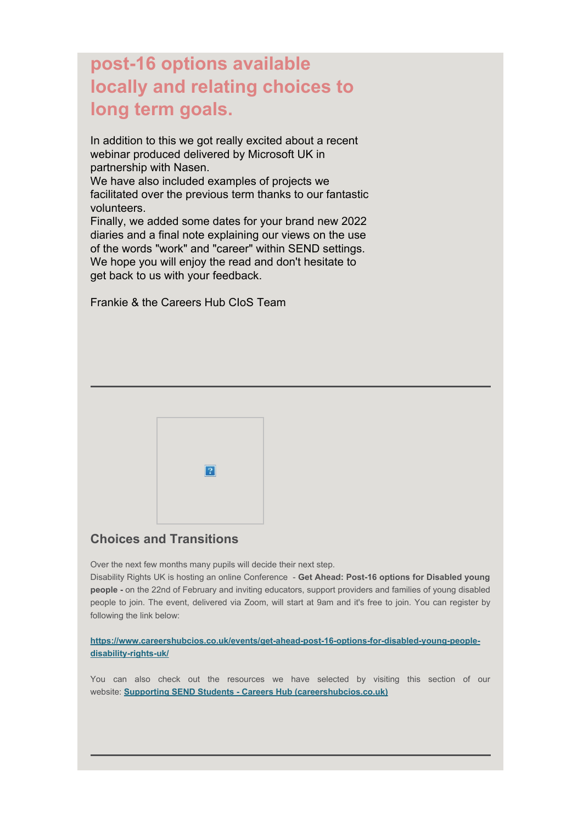# **post-16 options available locally and relating choices to long term goals.**

In addition to this we got really excited about a recent webinar produced delivered by Microsoft UK in partnership with Nasen.

We have also included examples of projects we facilitated over the previous term thanks to our fantastic volunteers.

Finally, we added some dates for your brand new 2022 diaries and a final note explaining our views on the use of the words "work" and "career" within SEND settings. We hope you will enjoy the read and don't hesitate to get back to us with your feedback.

Frankie & the Careers Hub CIoS Team



# **Choices and Transitions**

Over the next few months many pupils will decide their next step.

Disability Rights UK is hosting an online Conference - **Get Ahead: Post-16 options for Disabled young people -** on the 22nd of February and inviting educators, support providers and families of young disabled people to join. The event, delivered via Zoom, will start at 9am and it's free to join. You can register by following the link below:

**[https://www.careershubcios.co.uk/events/get-ahead-post-16-options-for-disabled-young-people](https://eur03.safelinks.protection.outlook.com/?url=https%3A%2F%2Fwww.careershubcios.co.uk%2Fevents%2Fget-ahead-post-16-options-for-disabled-young-people-disability-rights-uk%2F&data=04%7C01%7Cfrancesco.rigolli%40cornwall.gov.uk%7Ce825bc32de834f583e7a08da1e0906c2%7Cefaa16aad1de4d58ba2e2833fdfdd29f%7C0%7C0%7C637855322549905429%7CUnknown%7CTWFpbGZsb3d8eyJWIjoiMC4wLjAwMDAiLCJQIjoiV2luMzIiLCJBTiI6Ik1haWwiLCJXVCI6Mn0%3D%7C3000&sdata=bI5oF1WBfJeZwuLbCrZ2iFJ3ND7w%2FOiej%2BivAAH2VAQ%3D&reserved=0)[disability-rights-uk/](https://eur03.safelinks.protection.outlook.com/?url=https%3A%2F%2Fwww.careershubcios.co.uk%2Fevents%2Fget-ahead-post-16-options-for-disabled-young-people-disability-rights-uk%2F&data=04%7C01%7Cfrancesco.rigolli%40cornwall.gov.uk%7Ce825bc32de834f583e7a08da1e0906c2%7Cefaa16aad1de4d58ba2e2833fdfdd29f%7C0%7C0%7C637855322549905429%7CUnknown%7CTWFpbGZsb3d8eyJWIjoiMC4wLjAwMDAiLCJQIjoiV2luMzIiLCJBTiI6Ik1haWwiLCJXVCI6Mn0%3D%7C3000&sdata=bI5oF1WBfJeZwuLbCrZ2iFJ3ND7w%2FOiej%2BivAAH2VAQ%3D&reserved=0)**

You can also check out the resources we have selected by visiting this section of our website: **[Supporting SEND Students - Careers Hub \(careershubcios.co.uk\)](https://eur03.safelinks.protection.outlook.com/?url=https%3A%2F%2Fwww.careershubcios.co.uk%2Fschools-colleges%2Fbenchmark-3%2Fsupporting-send-students%2F&data=04%7C01%7Cfrancesco.rigolli%40cornwall.gov.uk%7Ce825bc32de834f583e7a08da1e0906c2%7Cefaa16aad1de4d58ba2e2833fdfdd29f%7C0%7C0%7C637855322549905429%7CUnknown%7CTWFpbGZsb3d8eyJWIjoiMC4wLjAwMDAiLCJQIjoiV2luMzIiLCJBTiI6Ik1haWwiLCJXVCI6Mn0%3D%7C3000&sdata=GR40K3bz%2FqA0d4nlGemjvOPdlV3y8xAKlNXJzlxfmQA%3D&reserved=0)**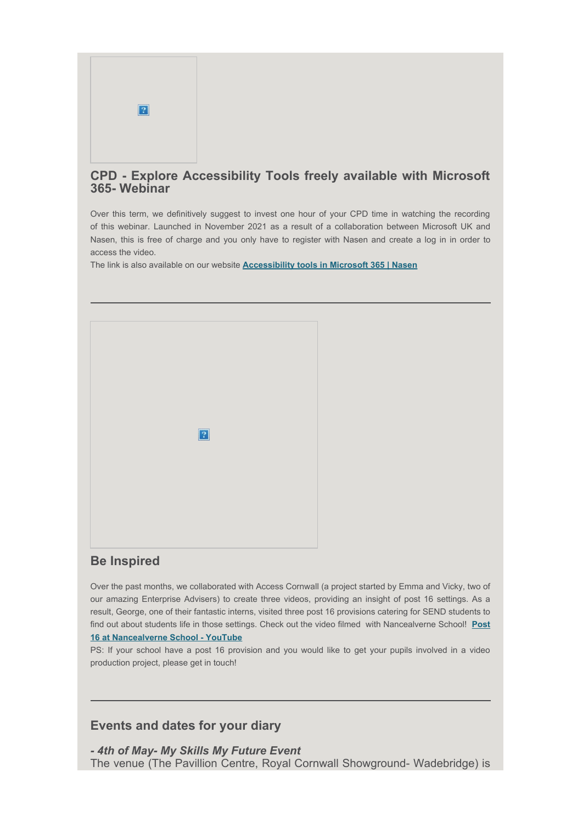

### **CPD - Explore Accessibility Tools freely available with Microsoft 365- Webinar**

Over this term, we definitively suggest to invest one hour of your CPD time in watching the recording of this webinar. Launched in November 2021 as a result of a collaboration between Microsoft UK and Nasen, this is free of charge and you only have to register with Nasen and create a log in in order to access the video.

The link is also available on our website **[Accessibility tools in Microsoft 365 | Nasen](https://eur03.safelinks.protection.outlook.com/?url=https%3A%2F%2Fnasen.org.uk%2F%2Fresources%2Faccessibility-tools-microsoft-365%3Futm_campaign%3D3068138_Resources%252005%252F01%252F22%26utm_medium%3Demail%26utm_source%3DNasen%26dm_i%3D2F68%2C1TRE2%2CA7AL3A%2C6BV19%2C1&data=04%7C01%7Cfrancesco.rigolli%40cornwall.gov.uk%7Ce825bc32de834f583e7a08da1e0906c2%7Cefaa16aad1de4d58ba2e2833fdfdd29f%7C0%7C0%7C637855322549905429%7CUnknown%7CTWFpbGZsb3d8eyJWIjoiMC4wLjAwMDAiLCJQIjoiV2luMzIiLCJBTiI6Ik1haWwiLCJXVCI6Mn0%3D%7C3000&sdata=DmrAVsSpEF0JJgrJCVnbpOK%2FeJGoT0%2BnSo08sp0Eziw%3D&reserved=0)**



# **Be Inspired**

Over the past months, we collaborated with Access Cornwall (a project started by Emma and Vicky, two of our amazing Enterprise Advisers) to create three videos, providing an insight of post 16 settings. As a result, George, one of their fantastic interns, visited three post 16 provisions catering for SEND students to find out about students life in those settings. Check out the video filmed with Nancealverne School! **[Post](https://eur03.safelinks.protection.outlook.com/?url=https%3A%2F%2Fwww.youtube.com%2Fwatch%3Fv%3DAZtShB7TFPk&data=04%7C01%7Cfrancesco.rigolli%40cornwall.gov.uk%7Ce825bc32de834f583e7a08da1e0906c2%7Cefaa16aad1de4d58ba2e2833fdfdd29f%7C0%7C0%7C637855322549905429%7CUnknown%7CTWFpbGZsb3d8eyJWIjoiMC4wLjAwMDAiLCJQIjoiV2luMzIiLCJBTiI6Ik1haWwiLCJXVCI6Mn0%3D%7C3000&sdata=IIwfTuP608Rc5zvK%2BAQQqPI1uqpa5e4a3domlLSxeAA%3D&reserved=0) [16 at Nancealverne School - YouTube](https://eur03.safelinks.protection.outlook.com/?url=https%3A%2F%2Fwww.youtube.com%2Fwatch%3Fv%3DAZtShB7TFPk&data=04%7C01%7Cfrancesco.rigolli%40cornwall.gov.uk%7Ce825bc32de834f583e7a08da1e0906c2%7Cefaa16aad1de4d58ba2e2833fdfdd29f%7C0%7C0%7C637855322549905429%7CUnknown%7CTWFpbGZsb3d8eyJWIjoiMC4wLjAwMDAiLCJQIjoiV2luMzIiLCJBTiI6Ik1haWwiLCJXVCI6Mn0%3D%7C3000&sdata=IIwfTuP608Rc5zvK%2BAQQqPI1uqpa5e4a3domlLSxeAA%3D&reserved=0)**

PS: If your school have a post 16 provision and you would like to get your pupils involved in a video production project, please get in touch!

### **Events and dates for your diary**

*- 4th of May- My Skills My Future Event* The venue (The Pavillion Centre, Royal Cornwall Showground- Wadebridge) is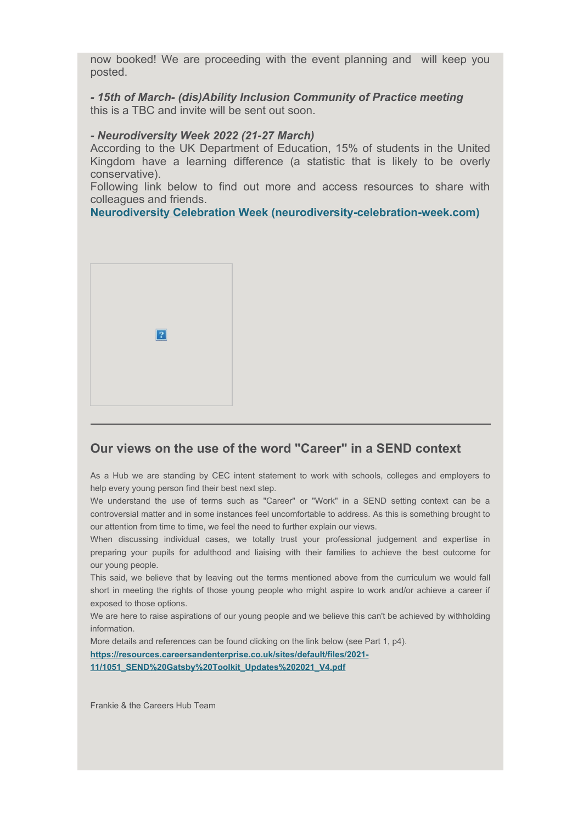now booked! We are proceeding with the event planning and will keep you posted.

*- 15th of March- (dis)Ability Inclusion Community of Practice meeting* this is a TBC and invite will be sent out soon.

#### *- Neurodiversity Week 2022 (21-27 March)*

According to the UK Department of Education, 15% of students in the United Kingdom have a learning difference (a statistic that is likely to be overly conservative).

Following link below to find out more and access resources to share with colleagues and friends.

**[Neurodiversity Celebration Week \(neurodiversity-celebration-week.com\)](https://eur03.safelinks.protection.outlook.com/?url=https%3A%2F%2Fwww.neurodiversity-celebration-week.com%2F%23%3A~%3Atext%3DNeurodiversity%2520Celebration%2520Week%2520MARCH%252021%2520-%252027%252C%25202022%2Cstatistic%2520that%2520is%2520likely%2520to%2520be%2520overly%2520conservative%2529.&data=04%7C01%7Cfrancesco.rigolli%40cornwall.gov.uk%7Ce825bc32de834f583e7a08da1e0906c2%7Cefaa16aad1de4d58ba2e2833fdfdd29f%7C0%7C0%7C637855322549905429%7CUnknown%7CTWFpbGZsb3d8eyJWIjoiMC4wLjAwMDAiLCJQIjoiV2luMzIiLCJBTiI6Ik1haWwiLCJXVCI6Mn0%3D%7C3000&sdata=RKZyKGSW5uvmPrq0FfvHh1xKBpdCW%2BXEX28JgNFky9M%3D&reserved=0)**



#### **Our views on the use of the word "Career" in a SEND context**

As a Hub we are standing by CEC intent statement to work with schools, colleges and employers to help every young person find their best next step.

We understand the use of terms such as "Career" or "Work" in a SEND setting context can be a controversial matter and in some instances feel uncomfortable to address. As this is something brought to our attention from time to time, we feel the need to further explain our views.

When discussing individual cases, we totally trust your professional judgement and expertise in preparing your pupils for adulthood and liaising with their families to achieve the best outcome for our young people.

This said, we believe that by leaving out the terms mentioned above from the curriculum we would fall short in meeting the rights of those young people who might aspire to work and/or achieve a career if exposed to those options.

We are here to raise aspirations of our young people and we believe this can't be achieved by withholding information.

More details and references can be found clicking on the link below (see Part 1, p4). **[https://resources.careersandenterprise.co.uk/sites/default/files/2021-](https://eur03.safelinks.protection.outlook.com/?url=https%3A%2F%2Fresources.careersandenterprise.co.uk%2Fsites%2Fdefault%2Ffiles%2F2021-11%2F1051_SEND%2520Gatsby%2520Toolkit_Updates%25202021_V4.pdf&data=04%7C01%7Cfrancesco.rigolli%40cornwall.gov.uk%7Ce825bc32de834f583e7a08da1e0906c2%7Cefaa16aad1de4d58ba2e2833fdfdd29f%7C0%7C0%7C637855322549905429%7CUnknown%7CTWFpbGZsb3d8eyJWIjoiMC4wLjAwMDAiLCJQIjoiV2luMzIiLCJBTiI6Ik1haWwiLCJXVCI6Mn0%3D%7C3000&sdata=83T58o50323xwwsYlXSZwiusdk0jtbRKZJwbAL38sps%3D&reserved=0) [11/1051\\_SEND%20Gatsby%20Toolkit\\_Updates%202021\\_V4.pdf](https://eur03.safelinks.protection.outlook.com/?url=https%3A%2F%2Fresources.careersandenterprise.co.uk%2Fsites%2Fdefault%2Ffiles%2F2021-11%2F1051_SEND%2520Gatsby%2520Toolkit_Updates%25202021_V4.pdf&data=04%7C01%7Cfrancesco.rigolli%40cornwall.gov.uk%7Ce825bc32de834f583e7a08da1e0906c2%7Cefaa16aad1de4d58ba2e2833fdfdd29f%7C0%7C0%7C637855322549905429%7CUnknown%7CTWFpbGZsb3d8eyJWIjoiMC4wLjAwMDAiLCJQIjoiV2luMzIiLCJBTiI6Ik1haWwiLCJXVCI6Mn0%3D%7C3000&sdata=83T58o50323xwwsYlXSZwiusdk0jtbRKZJwbAL38sps%3D&reserved=0)**

Frankie & the Careers Hub Team